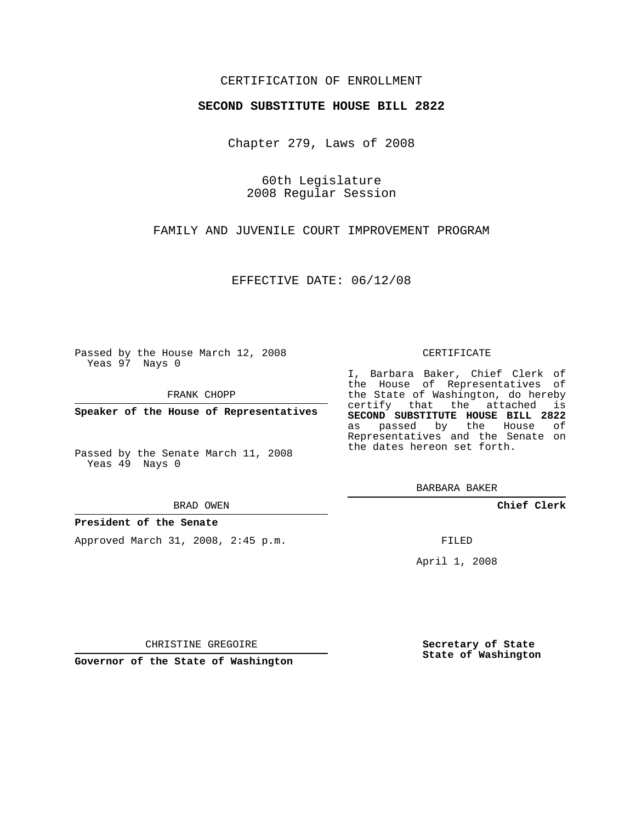## CERTIFICATION OF ENROLLMENT

## **SECOND SUBSTITUTE HOUSE BILL 2822**

Chapter 279, Laws of 2008

60th Legislature 2008 Regular Session

FAMILY AND JUVENILE COURT IMPROVEMENT PROGRAM

EFFECTIVE DATE: 06/12/08

Passed by the House March 12, 2008 Yeas 97 Nays 0

FRANK CHOPP

**Speaker of the House of Representatives**

Passed by the Senate March 11, 2008 Yeas 49 Nays 0

#### BRAD OWEN

### **President of the Senate**

Approved March 31, 2008, 2:45 p.m.

#### CERTIFICATE

I, Barbara Baker, Chief Clerk of the House of Representatives of the State of Washington, do hereby certify that the attached is **SECOND SUBSTITUTE HOUSE BILL 2822** as passed by the House of Representatives and the Senate on the dates hereon set forth.

BARBARA BAKER

**Chief Clerk**

FILED

April 1, 2008

CHRISTINE GREGOIRE

**Governor of the State of Washington**

**Secretary of State State of Washington**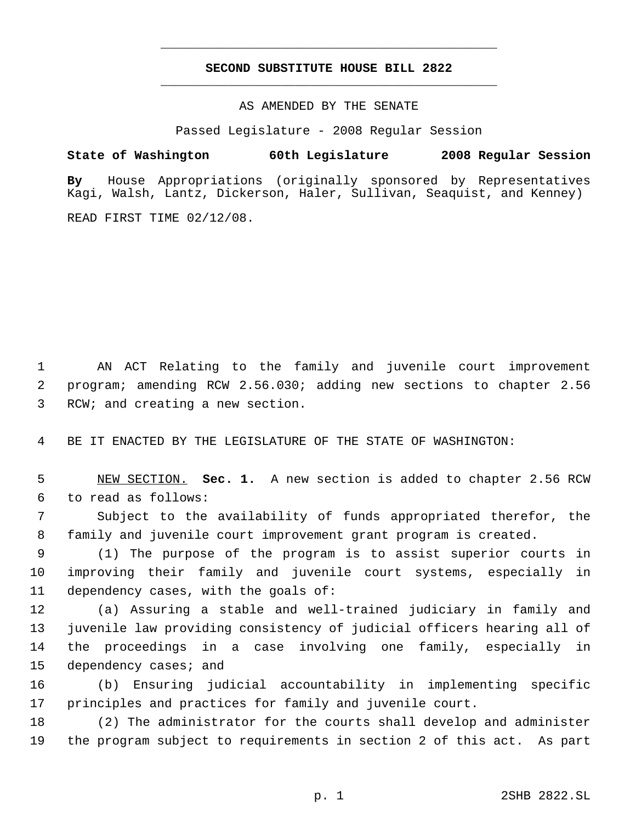# **SECOND SUBSTITUTE HOUSE BILL 2822** \_\_\_\_\_\_\_\_\_\_\_\_\_\_\_\_\_\_\_\_\_\_\_\_\_\_\_\_\_\_\_\_\_\_\_\_\_\_\_\_\_\_\_\_\_

\_\_\_\_\_\_\_\_\_\_\_\_\_\_\_\_\_\_\_\_\_\_\_\_\_\_\_\_\_\_\_\_\_\_\_\_\_\_\_\_\_\_\_\_\_

AS AMENDED BY THE SENATE

Passed Legislature - 2008 Regular Session

**State of Washington 60th Legislature 2008 Regular Session**

**By** House Appropriations (originally sponsored by Representatives Kagi, Walsh, Lantz, Dickerson, Haler, Sullivan, Seaquist, and Kenney)

READ FIRST TIME 02/12/08.

 AN ACT Relating to the family and juvenile court improvement program; amending RCW 2.56.030; adding new sections to chapter 2.56 RCW; and creating a new section.

BE IT ENACTED BY THE LEGISLATURE OF THE STATE OF WASHINGTON:

 NEW SECTION. **Sec. 1.** A new section is added to chapter 2.56 RCW to read as follows:

 Subject to the availability of funds appropriated therefor, the family and juvenile court improvement grant program is created.

 (1) The purpose of the program is to assist superior courts in improving their family and juvenile court systems, especially in dependency cases, with the goals of:

 (a) Assuring a stable and well-trained judiciary in family and juvenile law providing consistency of judicial officers hearing all of the proceedings in a case involving one family, especially in dependency cases; and

 (b) Ensuring judicial accountability in implementing specific principles and practices for family and juvenile court.

 (2) The administrator for the courts shall develop and administer the program subject to requirements in section 2 of this act. As part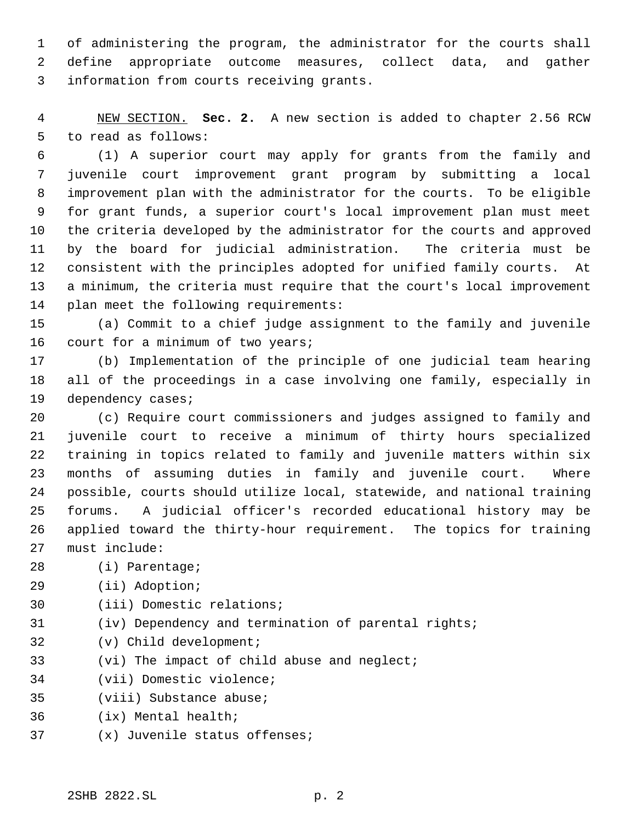of administering the program, the administrator for the courts shall define appropriate outcome measures, collect data, and gather information from courts receiving grants.

 NEW SECTION. **Sec. 2.** A new section is added to chapter 2.56 RCW to read as follows:

 (1) A superior court may apply for grants from the family and juvenile court improvement grant program by submitting a local improvement plan with the administrator for the courts. To be eligible for grant funds, a superior court's local improvement plan must meet the criteria developed by the administrator for the courts and approved by the board for judicial administration. The criteria must be consistent with the principles adopted for unified family courts. At a minimum, the criteria must require that the court's local improvement plan meet the following requirements:

 (a) Commit to a chief judge assignment to the family and juvenile 16 court for a minimum of two years;

 (b) Implementation of the principle of one judicial team hearing all of the proceedings in a case involving one family, especially in dependency cases;

 (c) Require court commissioners and judges assigned to family and juvenile court to receive a minimum of thirty hours specialized training in topics related to family and juvenile matters within six months of assuming duties in family and juvenile court. Where possible, courts should utilize local, statewide, and national training forums. A judicial officer's recorded educational history may be applied toward the thirty-hour requirement. The topics for training must include:

- (i) Parentage;
- (ii) Adoption;
- (iii) Domestic relations;
- (iv) Dependency and termination of parental rights;
- (v) Child development;
- (vi) The impact of child abuse and neglect;
- (vii) Domestic violence;
- (viii) Substance abuse;
- (ix) Mental health;
- (x) Juvenile status offenses;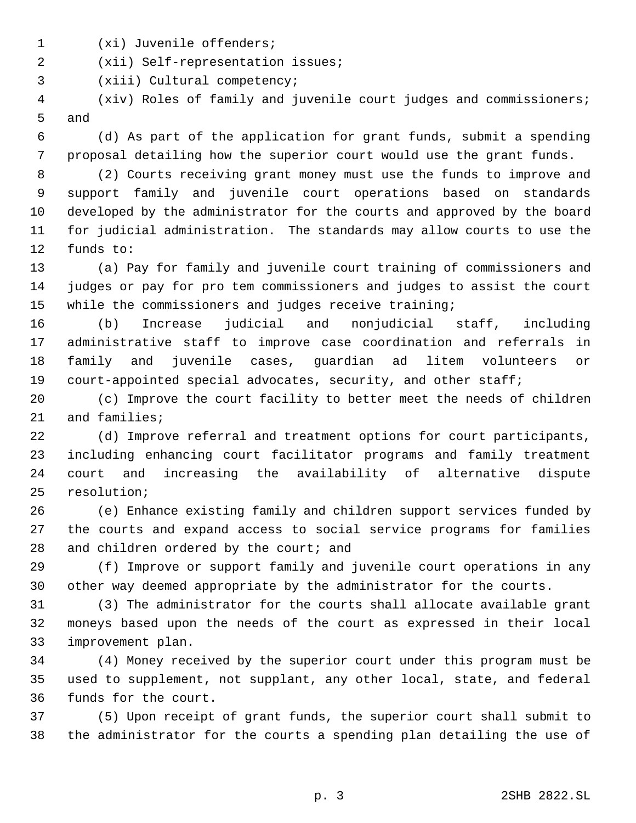- (xi) Juvenile offenders;
- (xii) Self-representation issues;

(xiii) Cultural competency;

 (xiv) Roles of family and juvenile court judges and commissioners; and

 (d) As part of the application for grant funds, submit a spending proposal detailing how the superior court would use the grant funds.

 (2) Courts receiving grant money must use the funds to improve and support family and juvenile court operations based on standards developed by the administrator for the courts and approved by the board for judicial administration. The standards may allow courts to use the funds to:

 (a) Pay for family and juvenile court training of commissioners and judges or pay for pro tem commissioners and judges to assist the court while the commissioners and judges receive training;

 (b) Increase judicial and nonjudicial staff, including administrative staff to improve case coordination and referrals in family and juvenile cases, guardian ad litem volunteers or court-appointed special advocates, security, and other staff;

 (c) Improve the court facility to better meet the needs of children and families;

 (d) Improve referral and treatment options for court participants, including enhancing court facilitator programs and family treatment court and increasing the availability of alternative dispute resolution;

 (e) Enhance existing family and children support services funded by the courts and expand access to social service programs for families 28 and children ordered by the court; and

 (f) Improve or support family and juvenile court operations in any other way deemed appropriate by the administrator for the courts.

 (3) The administrator for the courts shall allocate available grant moneys based upon the needs of the court as expressed in their local improvement plan.

 (4) Money received by the superior court under this program must be used to supplement, not supplant, any other local, state, and federal funds for the court.

 (5) Upon receipt of grant funds, the superior court shall submit to the administrator for the courts a spending plan detailing the use of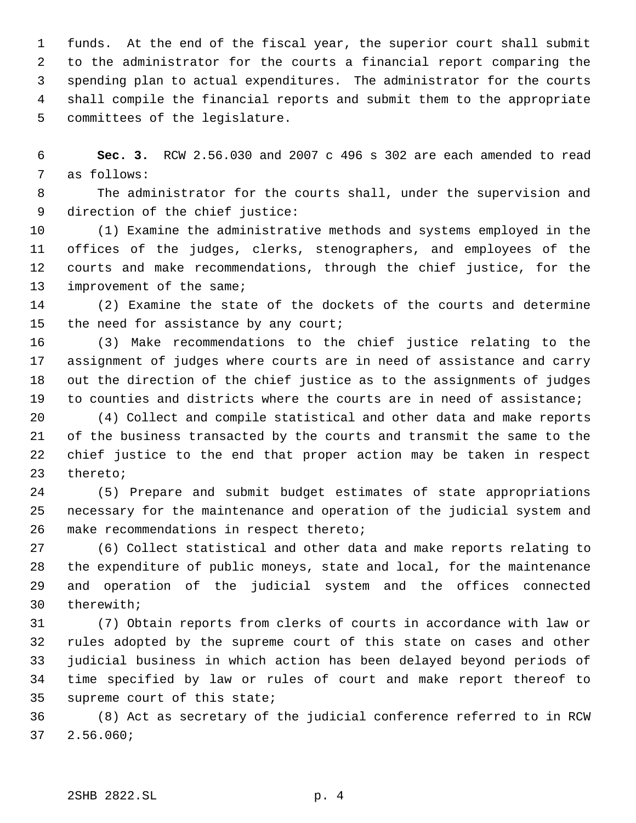funds. At the end of the fiscal year, the superior court shall submit to the administrator for the courts a financial report comparing the spending plan to actual expenditures. The administrator for the courts shall compile the financial reports and submit them to the appropriate committees of the legislature.

 **Sec. 3.** RCW 2.56.030 and 2007 c 496 s 302 are each amended to read as follows:

 The administrator for the courts shall, under the supervision and direction of the chief justice:

 (1) Examine the administrative methods and systems employed in the offices of the judges, clerks, stenographers, and employees of the courts and make recommendations, through the chief justice, for the 13 improvement of the same;

 (2) Examine the state of the dockets of the courts and determine 15 the need for assistance by any court;

 (3) Make recommendations to the chief justice relating to the assignment of judges where courts are in need of assistance and carry out the direction of the chief justice as to the assignments of judges to counties and districts where the courts are in need of assistance;

 (4) Collect and compile statistical and other data and make reports of the business transacted by the courts and transmit the same to the chief justice to the end that proper action may be taken in respect thereto;

 (5) Prepare and submit budget estimates of state appropriations necessary for the maintenance and operation of the judicial system and make recommendations in respect thereto;

 (6) Collect statistical and other data and make reports relating to the expenditure of public moneys, state and local, for the maintenance and operation of the judicial system and the offices connected therewith;

 (7) Obtain reports from clerks of courts in accordance with law or rules adopted by the supreme court of this state on cases and other judicial business in which action has been delayed beyond periods of time specified by law or rules of court and make report thereof to supreme court of this state;

 (8) Act as secretary of the judicial conference referred to in RCW 2.56.060;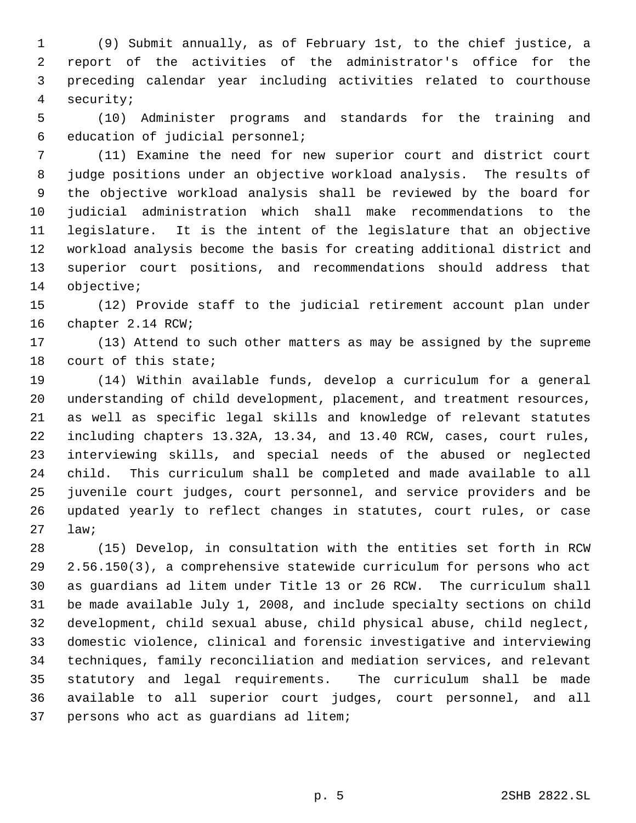(9) Submit annually, as of February 1st, to the chief justice, a report of the activities of the administrator's office for the preceding calendar year including activities related to courthouse security;

 (10) Administer programs and standards for the training and education of judicial personnel;

 (11) Examine the need for new superior court and district court judge positions under an objective workload analysis. The results of the objective workload analysis shall be reviewed by the board for judicial administration which shall make recommendations to the legislature. It is the intent of the legislature that an objective workload analysis become the basis for creating additional district and superior court positions, and recommendations should address that objective;

 (12) Provide staff to the judicial retirement account plan under chapter 2.14 RCW;

 (13) Attend to such other matters as may be assigned by the supreme court of this state;

 (14) Within available funds, develop a curriculum for a general understanding of child development, placement, and treatment resources, as well as specific legal skills and knowledge of relevant statutes including chapters 13.32A, 13.34, and 13.40 RCW, cases, court rules, interviewing skills, and special needs of the abused or neglected child. This curriculum shall be completed and made available to all juvenile court judges, court personnel, and service providers and be updated yearly to reflect changes in statutes, court rules, or case law;

 (15) Develop, in consultation with the entities set forth in RCW 2.56.150(3), a comprehensive statewide curriculum for persons who act as guardians ad litem under Title 13 or 26 RCW. The curriculum shall be made available July 1, 2008, and include specialty sections on child development, child sexual abuse, child physical abuse, child neglect, domestic violence, clinical and forensic investigative and interviewing techniques, family reconciliation and mediation services, and relevant statutory and legal requirements. The curriculum shall be made available to all superior court judges, court personnel, and all persons who act as guardians ad litem;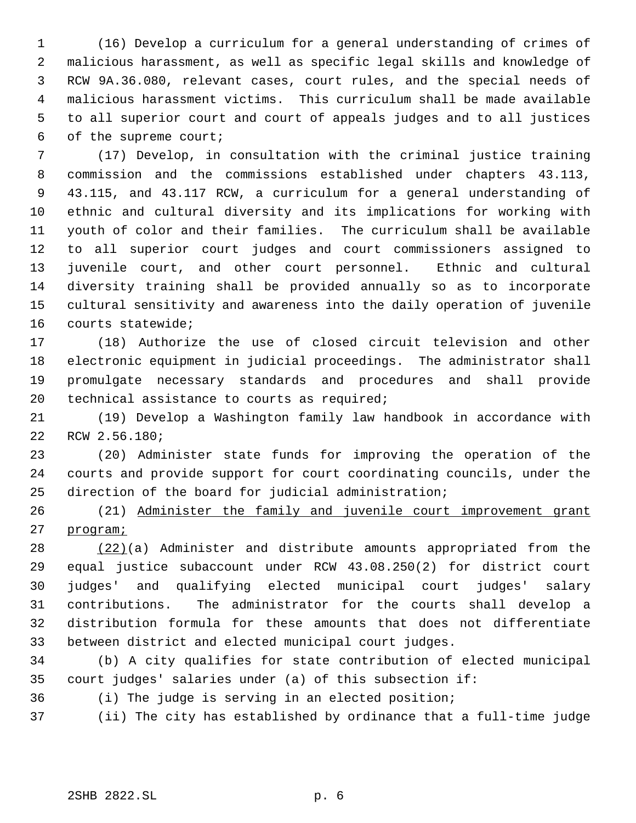(16) Develop a curriculum for a general understanding of crimes of malicious harassment, as well as specific legal skills and knowledge of RCW 9A.36.080, relevant cases, court rules, and the special needs of malicious harassment victims. This curriculum shall be made available to all superior court and court of appeals judges and to all justices of the supreme court;

 (17) Develop, in consultation with the criminal justice training commission and the commissions established under chapters 43.113, 43.115, and 43.117 RCW, a curriculum for a general understanding of ethnic and cultural diversity and its implications for working with youth of color and their families. The curriculum shall be available to all superior court judges and court commissioners assigned to juvenile court, and other court personnel. Ethnic and cultural diversity training shall be provided annually so as to incorporate cultural sensitivity and awareness into the daily operation of juvenile courts statewide;

 (18) Authorize the use of closed circuit television and other electronic equipment in judicial proceedings. The administrator shall promulgate necessary standards and procedures and shall provide technical assistance to courts as required;

 (19) Develop a Washington family law handbook in accordance with RCW 2.56.180;

 (20) Administer state funds for improving the operation of the courts and provide support for court coordinating councils, under the direction of the board for judicial administration;

 (21) Administer the family and juvenile court improvement grant program;

 (22)(a) Administer and distribute amounts appropriated from the equal justice subaccount under RCW 43.08.250(2) for district court judges' and qualifying elected municipal court judges' salary contributions. The administrator for the courts shall develop a distribution formula for these amounts that does not differentiate between district and elected municipal court judges.

 (b) A city qualifies for state contribution of elected municipal court judges' salaries under (a) of this subsection if:

(i) The judge is serving in an elected position;

(ii) The city has established by ordinance that a full-time judge